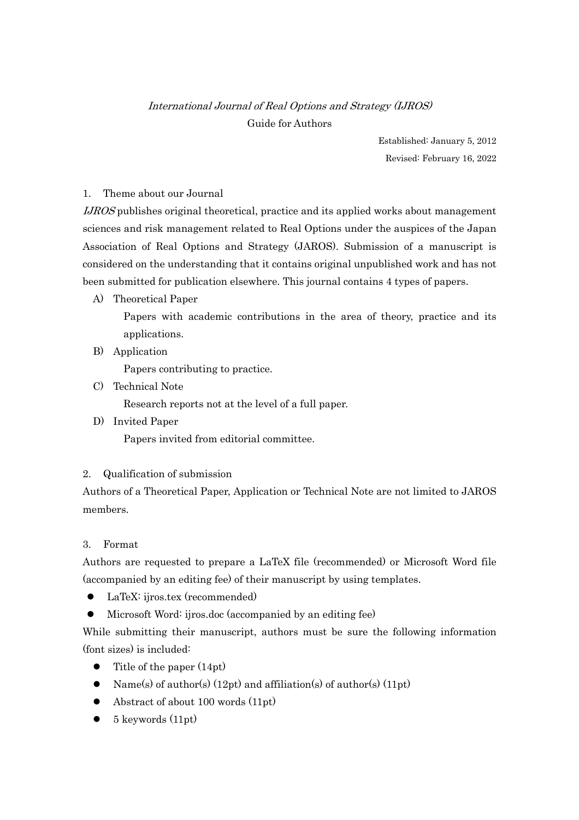# International Journal of Real Options and Strategy (IJROS) Guide for Authors

Established: January 5, 2012 Revised: February 16, 2022

### 1. Theme about our Journal

IJROS publishes original theoretical, practice and its applied works about management sciences and risk management related to Real Options under the auspices of the Japan Association of Real Options and Strategy (JAROS). Submission of a manuscript is considered on the understanding that it contains original unpublished work and has not been submitted for publication elsewhere. This journal contains 4 types of papers.

A) Theoretical Paper

Papers with academic contributions in the area of theory, practice and its applications.

B) Application

Papers contributing to practice.

C) Technical Note

Research reports not at the level of a full paper.

D) Invited Paper

Papers invited from editorial committee.

### 2. Qualification of submission

Authors of a Theoretical Paper, Application or Technical Note are not limited to JAROS members.

### 3. Format

Authors are requested to prepare a LaTeX file (recommended) or Microsoft Word file (accompanied by an editing fee) of their manuscript by using templates.

- LaTeX: ijros.tex (recommended)
- l Microsoft Word: ijros.doc (accompanied by an editing fee)

While submitting their manuscript, authors must be sure the following information (font sizes) is included:

- $\bullet$  Title of the paper (14pt)
- Name(s) of author(s) (12pt) and affiliation(s) of author(s) (11pt)
- $\bullet$  Abstract of about 100 words (11pt)
- $\bullet$  5 keywords (11pt)